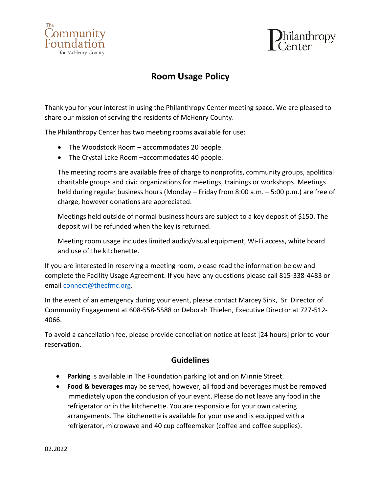



# **Room Usage Policy**

Thank you for your interest in using the Philanthropy Center meeting space. We are pleased to share our mission of serving the residents of McHenry County.

The Philanthropy Center has two meeting rooms available for use:

- The Woodstock Room accommodates 20 people.
- The Crystal Lake Room –accommodates 40 people.

The meeting rooms are available free of charge to nonprofits, community groups, apolitical charitable groups and civic organizations for meetings, trainings or workshops. Meetings held during regular business hours (Monday – Friday from 8:00 a.m. – 5:00 p.m.) are free of charge, however donations are appreciated.

Meetings held outside of normal business hours are subject to a key deposit of \$150. The deposit will be refunded when the key is returned.

Meeting room usage includes limited audio/visual equipment, Wi-Fi access, white board and use of the kitchenette.

If you are interested in reserving a meeting room, please read the information below and complete the Facility Usage Agreement. If you have any questions please call 815-338-4483 or email [connect@thecfmc.org.](mailto:connect@thecfmc.org)

In the event of an emergency during your event, please contact Marcey Sink, Sr. Director of Community Engagement at 608-558-5588 or Deborah Thielen, Executive Director at 727-512- 4066.

To avoid a cancellation fee, please provide cancellation notice at least [24 hours] prior to your reservation.

### **Guidelines**

- **Parking** is available in The Foundation parking lot and on Minnie Street.
- **Food & beverages** may be served, however, all food and beverages must be removed immediately upon the conclusion of your event. Please do not leave any food in the refrigerator or in the kitchenette. You are responsible for your own catering arrangements. The kitchenette is available for your use and is equipped with a refrigerator, microwave and 40 cup coffeemaker (coffee and coffee supplies).